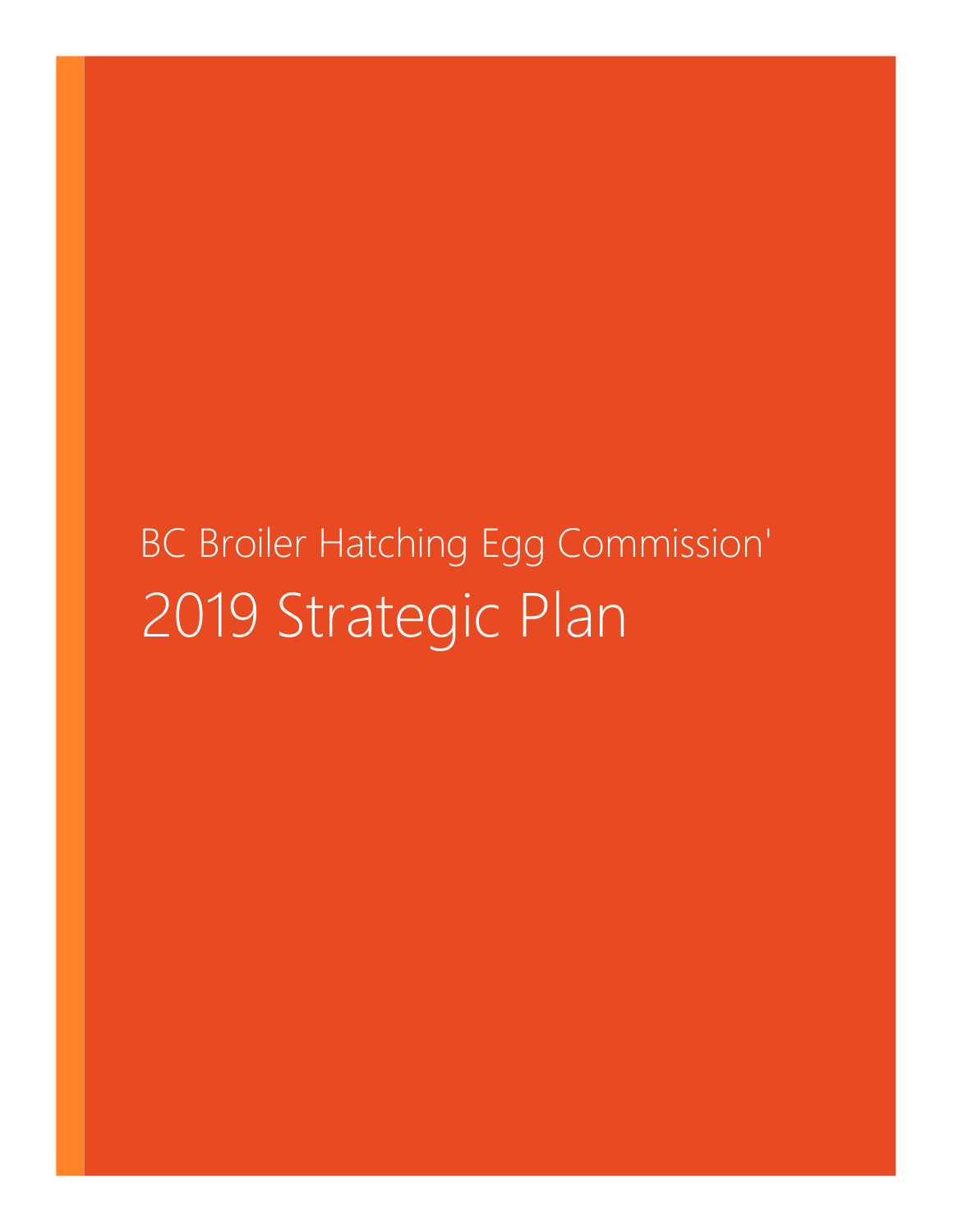# BC Broiler Hatching Egg Commission' 2019 Strategic Plan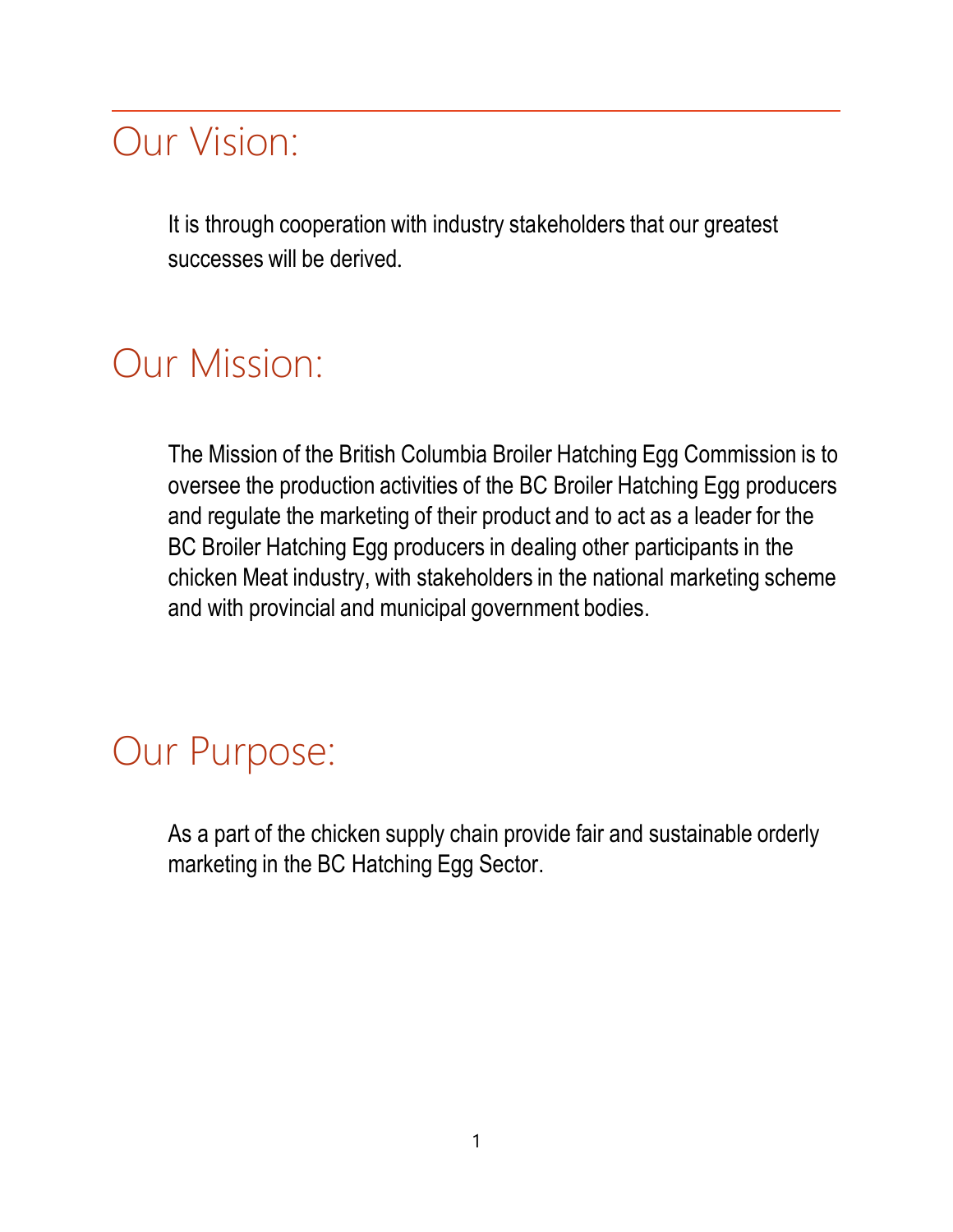# Our Vision:

It is through cooperation with industry stakeholders that our greatest successes will be derived.

## Our Mission:

The Mission of the British Columbia Broiler Hatching Egg Commission is to oversee the production activities of the BC Broiler Hatching Egg producers and regulate the marketing of their product and to act as a leader for the BC Broiler Hatching Egg producers in dealing other participants in the chicken Meat industry, with stakeholders in the national marketing scheme and with provincial and municipal government bodies.

# Our Purpose:

As a part of the chicken supply chain provide fair and sustainable orderly marketing in the BC Hatching Egg Sector.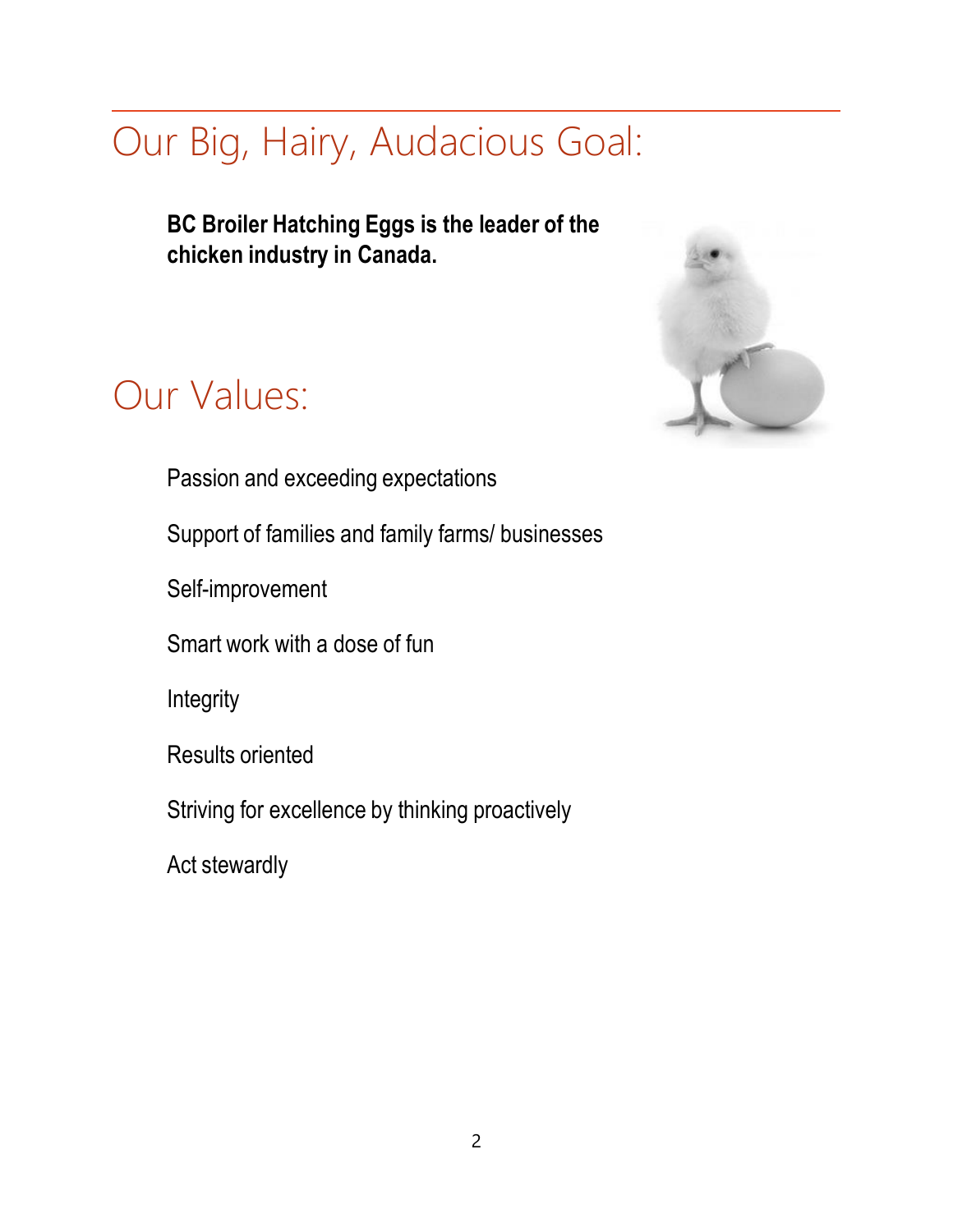# Our Big, Hairy, Audacious Goal:

**BC Broiler Hatching Eggs is the leader of the chicken industry in Canada.**

# Our Values:



Passion and exceeding expectations

Support of families and family farms/ businesses

Self-improvement

Smart work with a dose of fun

Integrity

Results oriented

Striving for excellence by thinking proactively

Act stewardly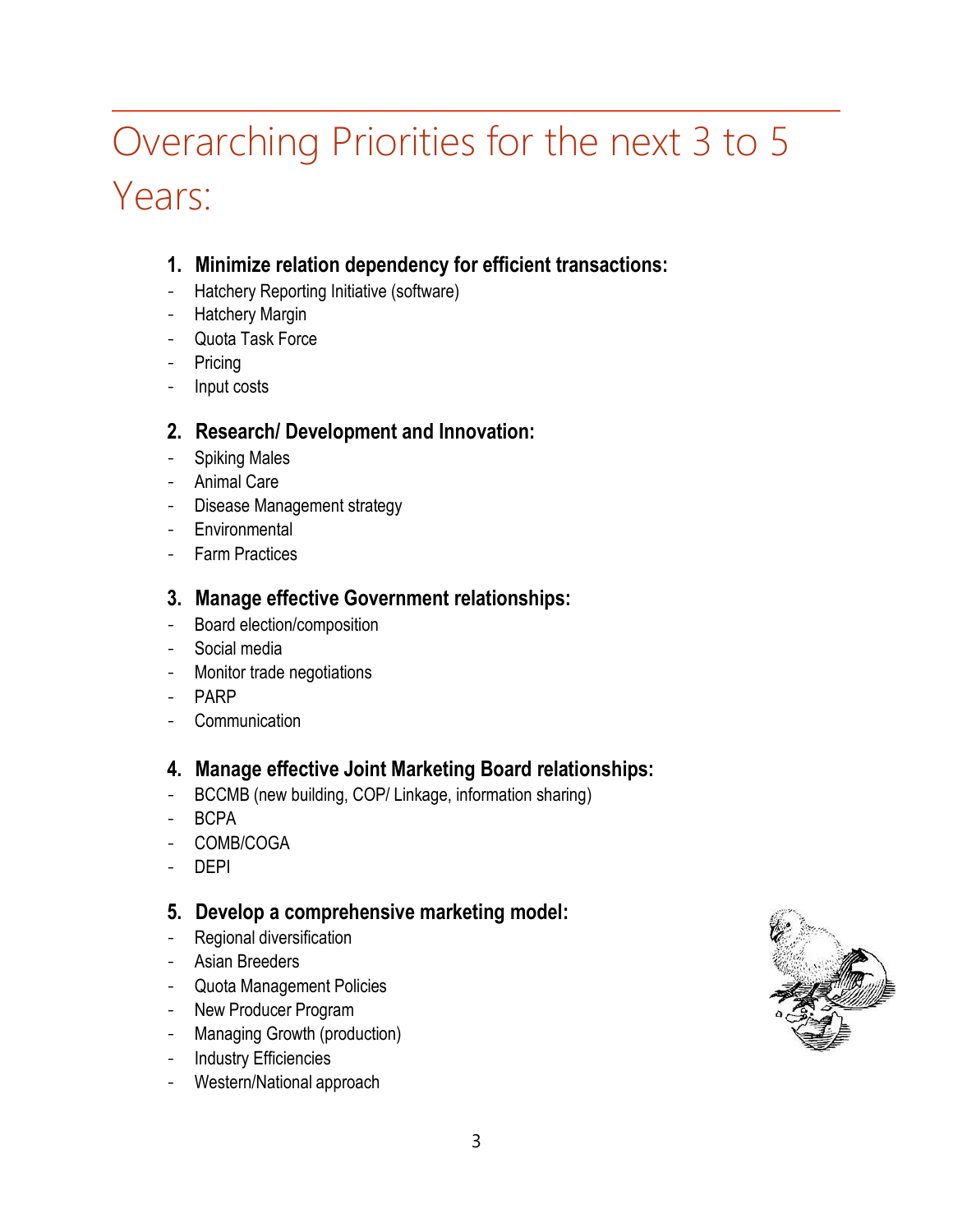# Overarching Priorities for the next 3 to 5 Years:

### **1. Minimize relation dependency for efficient transactions:**

- Hatchery Reporting Initiative (software)
- Hatchery Margin
- Quota Task Force
- Pricing
- Input costs

#### **2. Research/ Development and Innovation:**

- Spiking Males
- Animal Care
- Disease Management strategy
- Environmental
- Farm Practices

### **3. Manage effective Government relationships:**

- Board election/composition
- Social media
- Monitor trade negotiations
- PARP
- Communication

### **4. Manage effective Joint Marketing Board relationships:**

- BCCMB (new building, COP/ Linkage, information sharing)
- BCPA
- COMB/COGA
- DEPI

### **5. Develop a comprehensive marketing model:**

- Regional diversification
- Asian Breeders
- Quota Management Policies
- New Producer Program
- Managing Growth (production)
- Industry Efficiencies
- Western/National approach

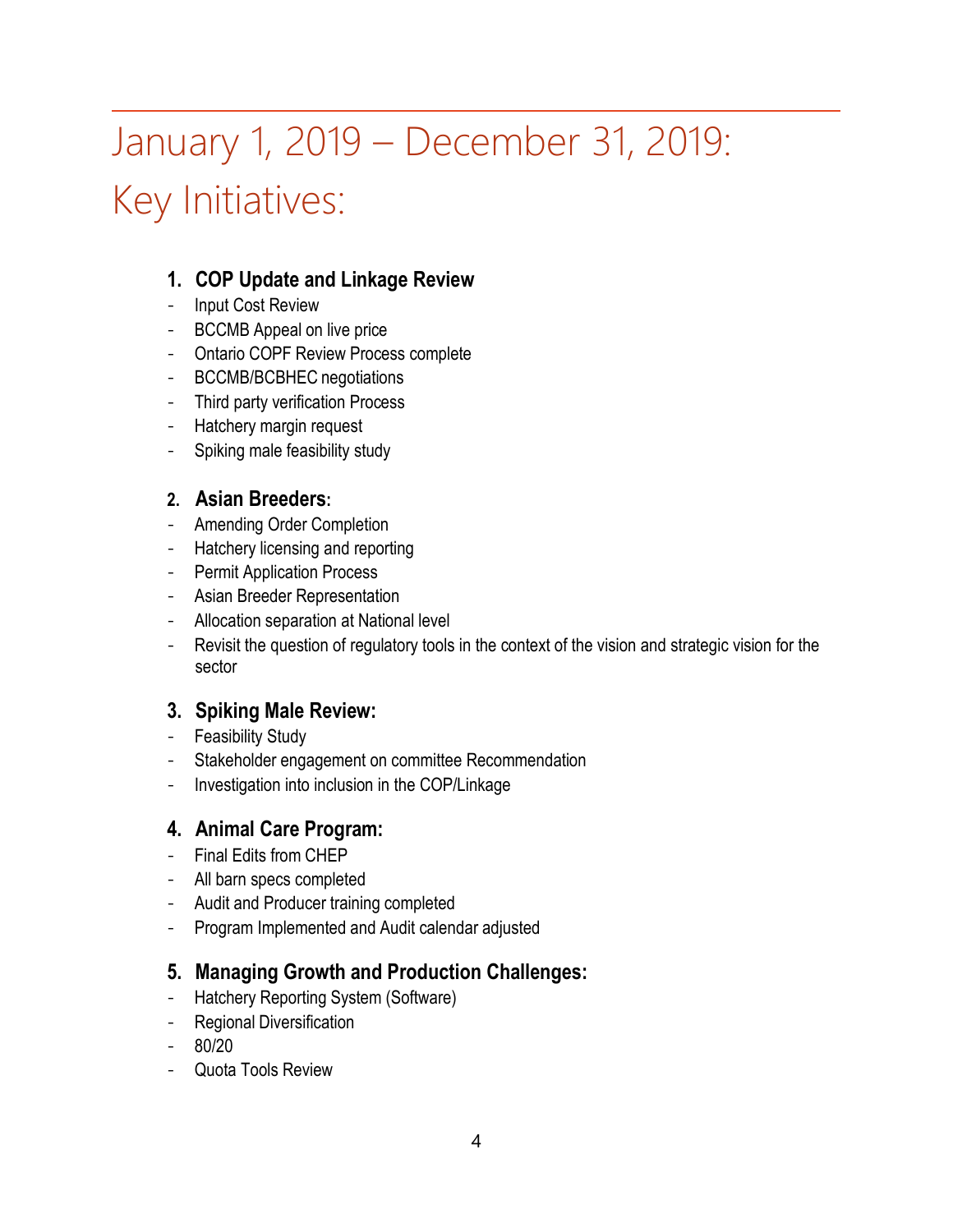# January 1, 2019 – December 31, 2019: Key Initiatives:

### **1. COP Update and Linkage Review**

- Input Cost Review
- BCCMB Appeal on live price
- Ontario COPF Review Process complete
- BCCMB/BCBHEC negotiations
- Third party verification Process
- Hatchery margin request
- Spiking male feasibility study

#### **2. Asian Breeders:**

- Amending Order Completion
- Hatchery licensing and reporting
- Permit Application Process
- Asian Breeder Representation
- Allocation separation at National level
- Revisit the question of regulatory tools in the context of the vision and strategic vision for the sector

### **3. Spiking Male Review:**

- Feasibility Study
- Stakeholder engagement on committee Recommendation
- Investigation into inclusion in the COP/Linkage

### **4. Animal Care Program:**

- Final Edits from CHEP
- All barn specs completed
- Audit and Producer training completed
- Program Implemented and Audit calendar adjusted

### **5. Managing Growth and Production Challenges:**

- Hatchery Reporting System (Software)
- **Regional Diversification**
- 80/20
- Quota Tools Review